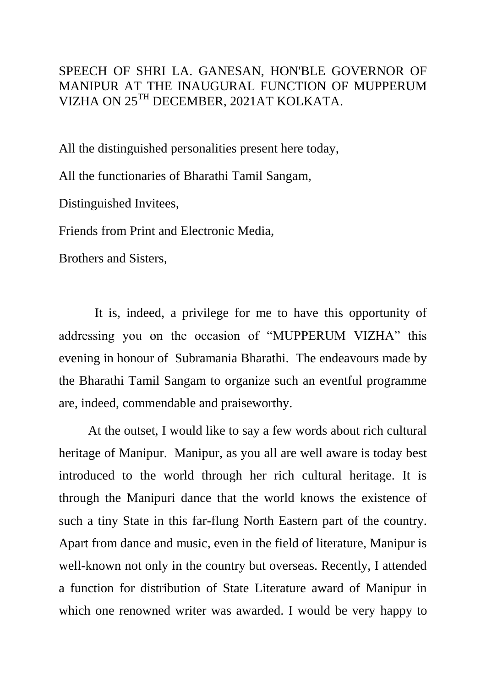SPEECH OF SHRI LA. GANESAN, HON'BLE GOVERNOR OF MANIPUR AT THE INAUGURAL FUNCTION OF MUPPERUM VIZHA ON 25TH DECEMBER, 2021AT KOLKATA.

All the distinguished personalities present here today,

All the functionaries of Bharathi Tamil Sangam,

Distinguished Invitees,

Friends from Print and Electronic Media,

Brothers and Sisters,

 It is, indeed, a privilege for me to have this opportunity of addressing you on the occasion of "MUPPERUM VIZHA" this evening in honour of Subramania Bharathi. The endeavours made by the Bharathi Tamil Sangam to organize such an eventful programme are, indeed, commendable and praiseworthy.

At the outset, I would like to say a few words about rich cultural heritage of Manipur. Manipur, as you all are well aware is today best introduced to the world through her rich cultural heritage. It is through the Manipuri dance that the world knows the existence of such a tiny State in this far-flung North Eastern part of the country. Apart from dance and music, even in the field of literature, Manipur is well-known not only in the country but overseas. Recently, I attended a function for distribution of State Literature award of Manipur in which one renowned writer was awarded. I would be very happy to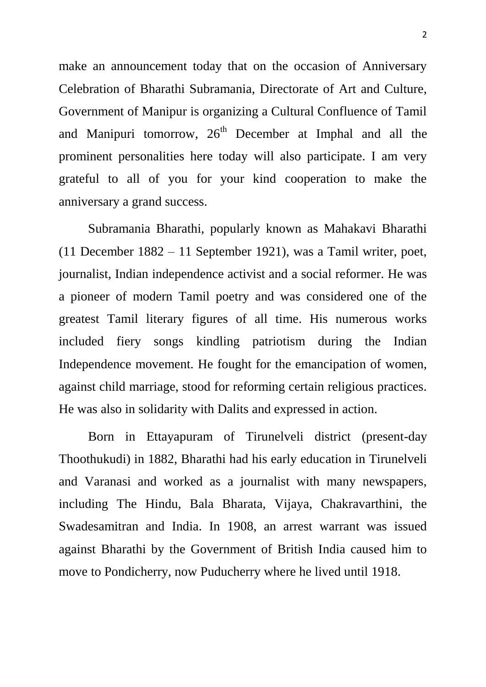make an announcement today that on the occasion of Anniversary Celebration of Bharathi Subramania, Directorate of Art and Culture, Government of Manipur is organizing a Cultural Confluence of Tamil and Manipuri tomorrow,  $26<sup>th</sup>$  December at Imphal and all the prominent personalities here today will also participate. I am very grateful to all of you for your kind cooperation to make the anniversary a grand success.

Subramania Bharathi, popularly known as Mahakavi Bharathi (11 December 1882 – 11 September 1921), was a Tamil writer, poet, journalist, Indian independence activist and a social reformer. He was a pioneer of modern Tamil poetry and was considered one of the greatest Tamil literary figures of all time. His numerous works included fiery songs kindling patriotism during the Indian Independence movement. He fought for the emancipation of women, against child marriage, stood for reforming certain religious practices. He was also in solidarity with Dalits and expressed in action.

Born in Ettayapuram of Tirunelveli district (present-day Thoothukudi) in 1882, Bharathi had his early education in Tirunelveli and Varanasi and worked as a journalist with many newspapers, including The Hindu, Bala Bharata, Vijaya, Chakravarthini, the Swadesamitran and India. In 1908, an arrest warrant was issued against Bharathi by the Government of British India caused him to move to Pondicherry, now Puducherry where he lived until 1918.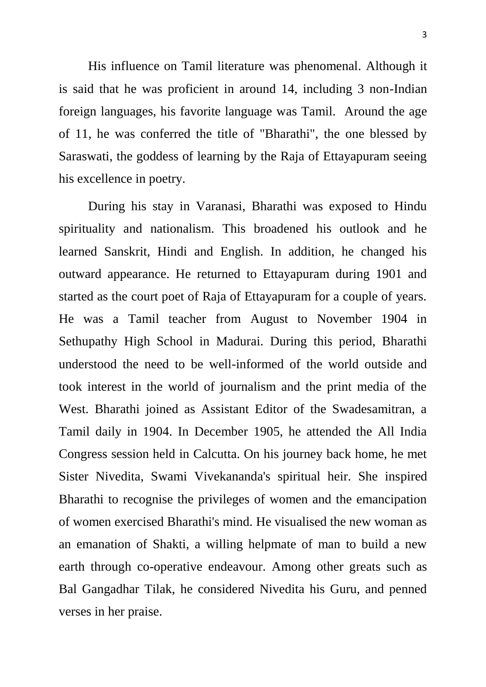His influence on Tamil literature was phenomenal. Although it is said that he was proficient in around 14, including 3 non-Indian foreign languages, his favorite language was Tamil. Around the age of 11, he was conferred the title of "Bharathi", the one blessed by Saraswati, the goddess of learning by the Raja of Ettayapuram seeing his excellence in poetry.

During his stay in Varanasi, Bharathi was exposed to Hindu spirituality and nationalism. This broadened his outlook and he learned Sanskrit, Hindi and English. In addition, he changed his outward appearance. He returned to Ettayapuram during 1901 and started as the court poet of Raja of Ettayapuram for a couple of years. He was a Tamil teacher from August to November 1904 in Sethupathy High School in Madurai. During this period, Bharathi understood the need to be well-informed of the world outside and took interest in the world of journalism and the print media of the West. Bharathi joined as Assistant Editor of the Swadesamitran, a Tamil daily in 1904. In December 1905, he attended the All India Congress session held in Calcutta. On his journey back home, he met Sister Nivedita, Swami Vivekananda's spiritual heir. She inspired Bharathi to recognise the privileges of women and the emancipation of women exercised Bharathi's mind. He visualised the new woman as an emanation of Shakti, a willing helpmate of man to build a new earth through co-operative endeavour. Among other greats such as Bal Gangadhar Tilak, he considered Nivedita his Guru, and penned verses in her praise.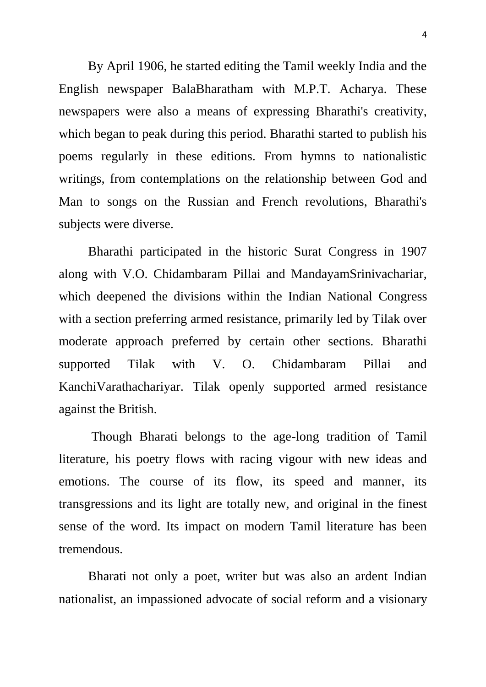By April 1906, he started editing the Tamil weekly India and the English newspaper BalaBharatham with M.P.T. Acharya. These newspapers were also a means of expressing Bharathi's creativity, which began to peak during this period. Bharathi started to publish his poems regularly in these editions. From hymns to nationalistic writings, from contemplations on the relationship between God and Man to songs on the Russian and French revolutions, Bharathi's subjects were diverse.

Bharathi participated in the historic Surat Congress in 1907 along with V.O. Chidambaram Pillai and MandayamSrinivachariar, which deepened the divisions within the Indian National Congress with a section preferring armed resistance, primarily led by Tilak over moderate approach preferred by certain other sections. Bharathi supported Tilak with V. O. Chidambaram Pillai and KanchiVarathachariyar. Tilak openly supported armed resistance against the British.

Though Bharati belongs to the age-long tradition of Tamil literature, his poetry flows with racing vigour with new ideas and emotions. The course of its flow, its speed and manner, its transgressions and its light are totally new, and original in the finest sense of the word. Its impact on modern Tamil literature has been tremendous.

Bharati not only a poet, writer but was also an ardent Indian nationalist, an impassioned advocate of social reform and a visionary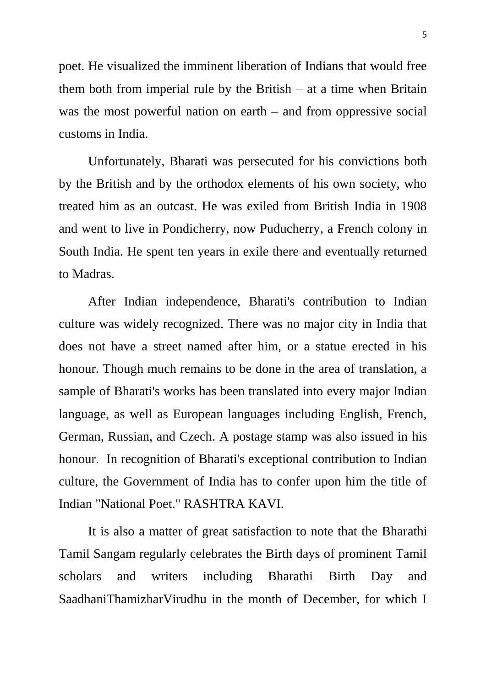poet. He visualized the imminent liberation of Indians that would free them both from imperial rule by the British  $-$  at a time when Britain was the most powerful nation on earth – and from oppressive social customs in India.

Unfortunately, Bharati was persecuted for his convictions both by the British and by the orthodox elements of his own society, who treated him as an outcast. He was exiled from British India in 1908 and went to live in Pondicherry, now Puducherry, a French colony in South India. He spent ten years in exile there and eventually returned to Madras.

After Indian independence, Bharati's contribution to Indian culture was widely recognized. There was no major city in India that does not have a street named after him, or a statue erected in his honour. Though much remains to be done in the area of translation, a sample of Bharati's works has been translated into every major Indian language, as well as European languages including English, French, German, Russian, and Czech. A postage stamp was also issued in his honour. In recognition of Bharati's exceptional contribution to Indian culture, the Government of India has to confer upon him the title of Indian "National Poet." RASHTRA KAVI.

 It is also a matter of great satisfaction to note that the Bharathi Tamil Sangam regularly celebrates the Birth days of prominent Tamil scholars and writers including Bharathi Birth Day and SaadhaniThamizharVirudhu in the month of December, for which I